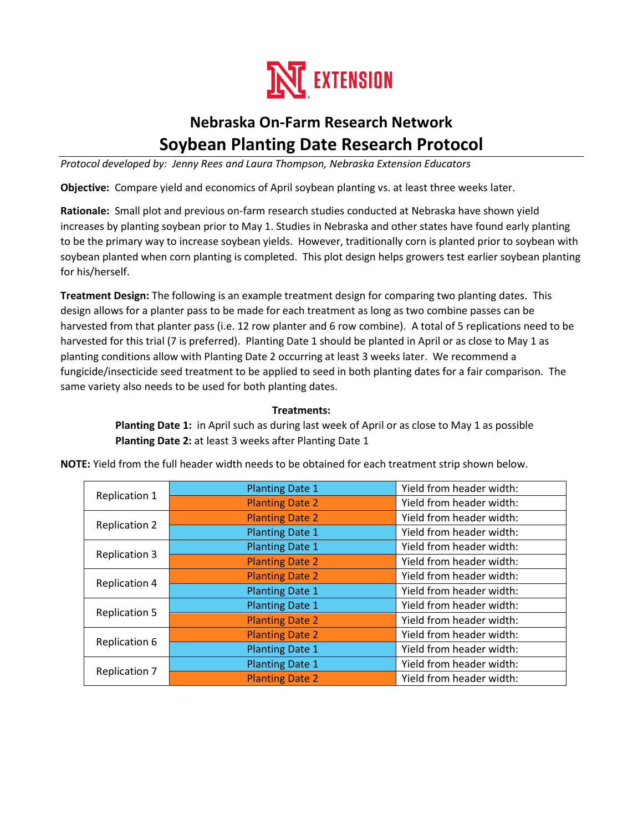

# **Nebraska On-Farm Research Network Soybean Planting Date Research Protocol**

*Protocol developed by: Jenny Rees and Laura Thompson, Nebraska Extension Educators*

**Objective:** Compare yield and economics of April soybean planting vs. at least three weeks later.

**Rationale:** Small plot and previous on-farm research studies conducted at Nebraska have shown yield increases by planting soybean prior to May 1. Studies in Nebraska and other states have found early planting to be the primary way to increase soybean yields. However, traditionally corn is planted prior to soybean with soybean planted when corn planting is completed. This plot design helps growers test earlier soybean planting for his/herself.

**Treatment Design:** The following is an example treatment design for comparing two planting dates. This design allows for a planter pass to be made for each treatment as long as two combine passes can be harvested from that planter pass (i.e. 12 row planter and 6 row combine). A total of 5 replications need to be harvested for this trial (7 is preferred). Planting Date 1 should be planted in April or as close to May 1 as planting conditions allow with Planting Date 2 occurring at least 3 weeks later. We recommend a fungicide/insecticide seed treatment to be applied to seed in both planting dates for a fair comparison. The same variety also needs to be used for both planting dates.

### **Treatments:**

 **Planting Date 1:** in April such as during last week of April or as close to May 1 as possible  **Planting Date 2:** at least 3 weeks after Planting Date 1

| Replication 1        | <b>Planting Date 1</b> | Yield from header width: |
|----------------------|------------------------|--------------------------|
|                      | <b>Planting Date 2</b> | Yield from header width: |
| <b>Replication 2</b> | <b>Planting Date 2</b> | Yield from header width: |
|                      | <b>Planting Date 1</b> | Yield from header width: |
| <b>Replication 3</b> | <b>Planting Date 1</b> | Yield from header width: |
|                      | <b>Planting Date 2</b> | Yield from header width: |
| <b>Replication 4</b> | <b>Planting Date 2</b> | Yield from header width: |
|                      | <b>Planting Date 1</b> | Yield from header width: |
| <b>Replication 5</b> | <b>Planting Date 1</b> | Yield from header width: |
|                      | <b>Planting Date 2</b> | Yield from header width: |
| Replication 6        | <b>Planting Date 2</b> | Yield from header width: |
|                      | <b>Planting Date 1</b> | Yield from header width: |
| <b>Replication 7</b> | <b>Planting Date 1</b> | Yield from header width: |
|                      | <b>Planting Date 2</b> | Yield from header width: |

**NOTE:** Yield from the full header width needs to be obtained for each treatment strip shown below.